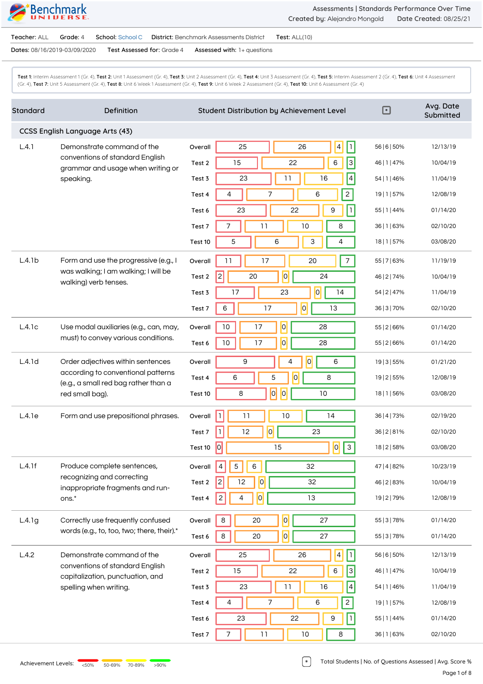

**Teacher:** ALL **Grade:** 4 **School:** School C **District:** Benchmark Assessments District **Test:** ALL(10)

**Dates:** 08/16/2019-03/09/2020 **Test Assessed for:** Grade 4 **Assessed with:** 1+ questions

Test 1: Interim Assessment 1 (Gr. 4), Test 2: Unit 1 Assessment (Gr. 4), Test 3: Unit 2 Assessment (Gr. 4), Test 4: Unit 3 Assessment (Gr. 4), Test 5: Interim Assessment 2 (Gr. 4), Test 6: Unit 4 Assessment (Gr. 4), **Test 7:** Unit 5 Assessment (Gr. 4), **Test 8:** Unit 6 Week 1 Assessment (Gr. 4), **Test 9:** Unit 6 Week 2 Assessment (Gr. 4), **Test 10:** Unit 6 Assessment (Gr. 4)

| Standard | Definition                                                                                                                         | Student Distribution by Achievement Level                          | ⊡             | Avg. Date<br>Submitted |
|----------|------------------------------------------------------------------------------------------------------------------------------------|--------------------------------------------------------------------|---------------|------------------------|
|          | CCSS English Language Arts (43)                                                                                                    |                                                                    |               |                        |
| L.4.1    | Demonstrate command of the                                                                                                         | $\vert 4 \vert$<br>$\vert \mathbf{1} \vert$<br>25<br>26<br>Overall | 56   6   50%  | 12/13/19               |
|          | conventions of standard English<br>grammar and usage when writing or<br>speaking.                                                  | 3 <br>22<br>6<br>15<br>Test 2                                      | 46   1   47%  | 10/04/19               |
|          |                                                                                                                                    | $\vert 4 \vert$<br>11<br>16<br>23<br>Test 3                        | 54   1   46%  | 11/04/19               |
|          |                                                                                                                                    | $\overline{2}$<br>7<br>6<br>4<br>Test 4                            | 19   1   57%  | 12/08/19               |
|          |                                                                                                                                    | 22<br>23<br>9<br>$\mathbf{I}$<br>Test 6                            | 55   1   44%  | 01/14/20               |
|          |                                                                                                                                    | 11<br>7<br>10<br>8<br>Test 7                                       | 36   1   63%  | 02/10/20               |
|          |                                                                                                                                    | 5<br>6<br>3<br>4<br>Test 10                                        | 18   1   57%  | 03/08/20               |
| L.4.1b   | Form and use the progressive (e.g., I                                                                                              | $\overline{7}$<br>17<br>20<br>11<br>Overall                        | 55   7   63%  | 11/19/19               |
|          | was walking; I am walking; I will be<br>walking) verb tenses.                                                                      | 0 <br>$\vert$ 2<br>20<br>24<br>Test 2                              | 46   2   74%  | 10/04/19               |
|          |                                                                                                                                    | 17<br> 0 <br>23<br>14<br>Test 3                                    | 54   2   47%  | 11/04/19               |
|          |                                                                                                                                    | $ \overline{0} $<br>6<br>17<br>13<br>Test 7                        | 36   3   70%  | 02/10/20               |
| L.4.1c   | Use modal auxiliaries (e.g., can, may,                                                                                             | $\overline{0}$<br>17<br>10<br>28<br>Overall                        | 55   2   66%  | 01/14/20               |
|          | must) to convey various conditions.                                                                                                | $\overline{O}$<br>10<br>17<br>28<br>Test 6                         | 55   2   66%  | 01/14/20               |
| L.4.1d   | Order adjectives within sentences<br>according to conventional patterns<br>(e.g., a small red bag rather than a<br>red small bag). | $\overline{0}$<br>9<br>4<br>6<br>Overall                           | 19   3   55%  | 01/21/20               |
|          |                                                                                                                                    | $\overline{O}$<br>5<br>6<br>8<br>Test 4                            | 19   2   55%  | 12/08/19               |
|          |                                                                                                                                    | $ \overline{o} $<br>$\vert 0 \vert$<br>10<br>8<br>Test 10          | 18   1   56%  | 03/08/20               |
| L.4.1e   | Form and use prepositional phrases.                                                                                                | h.<br>11<br>10<br>14<br>Overall                                    | 36   4   73%  | 02/19/20               |
|          |                                                                                                                                    | 0 <br>$\mathbf{I}$<br>12<br>23<br>Test 7                           | 36   2   8 1% | 02/10/20               |
|          |                                                                                                                                    | $\overline{0}$<br> 0 <br>$\vert$ 3<br>15<br>Test 10                | 18   2   58%  | 03/08/20               |
| L.4.1f   | Produce complete sentences,<br>recognizing and correcting<br>inappropriate fragments and run-<br>ons.*                             | 32<br>5<br>6<br>Overall<br>$\vert 4 \vert$                         | 47   4   82%  | 10/23/19               |
|          |                                                                                                                                    | $\overline{0}$<br>12<br>32<br>2<br>Test 2                          | 46   2   83%  | 10/04/19               |
|          |                                                                                                                                    | $\overline{0}$<br>13<br>2<br>4<br>Test 4                           | 19   2   79%  | 12/08/19               |
| L.4.1g   | Correctly use frequently confused                                                                                                  | 0 <br>8<br>20<br>27<br>Overall                                     | 55   3   78%  | 01/14/20               |
|          | words (e.g., to, too, two; there, their).*                                                                                         | $ \overline{o} $<br>$\,8\,$<br>20<br>27<br>Test 6                  | 55   3   78%  | 01/14/20               |
| L.4.2    | Demonstrate command of the                                                                                                         | h.<br>$\vert 4 \vert$<br>25<br>26<br>Overall                       | 56   6   50%  | 12/13/19               |
|          | conventions of standard English<br>capitalization, punctuation, and                                                                | $\vert$ 3<br>$\,6\,$<br>15<br>22<br>Test 2                         | 46   1   47%  | 10/04/19               |
|          | spelling when writing.                                                                                                             | $\vert 4 \vert$<br>$11$<br>16<br>23<br>Test 3                      | 54   1   46%  | 11/04/19               |
|          |                                                                                                                                    | $2\vert$<br>$\overline{7}$<br>6<br>4<br>Test 4                     | 19   1   57%  | 12/08/19               |
|          |                                                                                                                                    | 22<br>23<br>9<br>$\mathbf{I}$<br>Test 6                            | 55   1   44%  | 01/14/20               |
|          |                                                                                                                                    | 11<br>$10$<br>8<br>Test 7                                          | 36   1   63%  | 02/10/20               |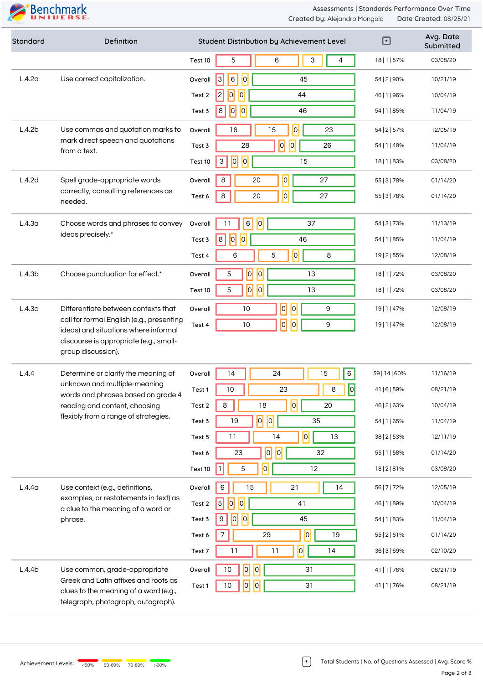| Standard           | Definition                                                                                                                                                                         |         | Student Distribution by Achievement Level                | $\boxdot$     | Avg. Date<br>Submitted |
|--------------------|------------------------------------------------------------------------------------------------------------------------------------------------------------------------------------|---------|----------------------------------------------------------|---------------|------------------------|
|                    |                                                                                                                                                                                    | Test 10 | 5<br>6<br>3<br>4                                         | 18   1   57%  | 03/08/20               |
| L.4.2a             | Use correct capitalization.                                                                                                                                                        | Overall | $\overline{0}$<br> 3 <br>6<br>45                         | 54   2   90%  | 10/21/19               |
|                    |                                                                                                                                                                                    | Test 2  | 0 <br> 0 <br> 2 <br>44                                   | 46   1   96%  | 10/04/19               |
|                    |                                                                                                                                                                                    | Test 3  | 0 <br> 0 <br>$\bf 8$<br>46                               | 54   1   85%  | 11/04/19               |
| L.4.2b             | Use commas and quotation marks to                                                                                                                                                  | Overall | 0 <br>15<br>16<br>23                                     | 54   2   57%  | 12/05/19               |
|                    | mark direct speech and quotations<br>from a text.                                                                                                                                  | Test 3  | 0 <br> 0 <br>28<br>26                                    | 54   1   48%  | 11/04/19               |
|                    |                                                                                                                                                                                    | Test 10 | $\overline{0}$<br> 0 <br>$\ensuremath{\mathsf{3}}$<br>15 | 18   1   83%  | 03/08/20               |
| L.4.2d             | Spell grade-appropriate words                                                                                                                                                      | Overall | 0 <br>8<br>20<br>27                                      | 55   3   78%  | 01/14/20               |
|                    | correctly, consulting references as<br>needed.                                                                                                                                     | Test 6  | $\overline{0}$<br>$\,8\,$<br>20<br>27                    | 55   3   78%  | 01/14/20               |
| L.4.3 <sub>a</sub> | Choose words and phrases to convey                                                                                                                                                 | Overall | 0 <br>6<br>11<br>37                                      | 54   3   73%  | 11/13/19               |
|                    | ideas precisely.*                                                                                                                                                                  | Test 3  | 0 <br> 0 <br>8<br>46                                     | 54   1   85%  | 11/04/19               |
|                    |                                                                                                                                                                                    | Test 4  | 0 <br>$\mathbf 5$<br>8<br>6                              | 19   2   55%  | 12/08/19               |
| L.4.3b             | Choose punctuation for effect.*                                                                                                                                                    | Overall | $ \overline{o} $<br> 0 <br>5<br>13                       | 18   1   72%  | 03/08/20               |
|                    |                                                                                                                                                                                    | Test 10 | $\overline{0}$<br> 0 <br>5<br>13                         | 18   1   72%  | 03/08/20               |
| L.4.3c             | Differentiate between contexts that                                                                                                                                                | Overall | $\overline{0}$<br> 0 <br>9<br>$10$                       | 19   1   47%  | 12/08/19               |
|                    | call for formal English (e.g., presenting<br>ideas) and situations where informal<br>discourse is appropriate (e.g., small-<br>group discussion).                                  | Test 4  | $\overline{0}$<br>$\overline{0}$<br>9<br>10              | 19   1   47%  | 12/08/19               |
|                    |                                                                                                                                                                                    |         |                                                          |               |                        |
| L.4.4              | Determine or clarify the meaning of<br>unknown and multiple-meaning<br>words and phrases based on grade 4<br>reading and content, choosing<br>flexibly from a range of strategies. | Overall | 6<br>14<br>24<br>15                                      | 59   14   60% | 11/16/19               |
|                    |                                                                                                                                                                                    | Test 1  | $\overline{0}$<br>$10\,$<br>23<br>8                      | 41   6   59%  | 08/21/19               |
|                    |                                                                                                                                                                                    | Test 2  | $\overline{0}$<br>18<br>8<br>20                          | 46   2   63%  | 10/04/19               |
|                    |                                                                                                                                                                                    | Test 3  | $ \overline{o} $<br> 0 <br>19<br>35                      | 54   1   65%  | 11/04/19               |
|                    |                                                                                                                                                                                    | Test 5  | 0 <br>13<br>11<br>14                                     | 38   2   53%  | 12/11/19               |
|                    |                                                                                                                                                                                    | Test 6  | $ \overline{o} $<br> 0 <br>23<br>32                      | 55   1   58%  | 01/14/20               |
|                    |                                                                                                                                                                                    | Test 10 | 0 <br>5<br>12                                            | 18   2   8 1% | 03/08/20               |
| L.4.4 <sub>a</sub> | Use context (e.g., definitions,                                                                                                                                                    | Overall | 15<br>14<br>6<br>21                                      | 56   7   72%  | 12/05/19               |
|                    | examples, or restatements in text) as<br>a clue to the meaning of a word or                                                                                                        | Test 2  | $\vert$ 5<br> 0 <br> 0 <br>41                            | 46   1   89%  | 10/04/19               |
|                    | phrase.                                                                                                                                                                            | Test 3  | 0 <br> 0 <br>45<br>9                                     | 54   1   83%  | 11/04/19               |
|                    |                                                                                                                                                                                    | Test 6  | 0 <br>29<br>19<br>7                                      | 55   2   61%  | 01/14/20               |
|                    |                                                                                                                                                                                    | Test 7  | $\overline{0}$<br>11<br>11<br>14                         | 36   3   69%  | 02/10/20               |
| L.4.4b             | Use common, grade-appropriate                                                                                                                                                      | Overall | $\overline{0}$<br>$\vert 0 \vert$<br>10<br>31            | 41   1   76%  | 08/21/19               |
|                    | Greek and Latin affixes and roots as<br>clues to the meaning of a word (e.g.,<br>telegraph, photograph, autograph).                                                                | Test 1  | $\overline{0}$<br> 0 <br>31<br>10                        | 41   1   76%  | 08/21/19               |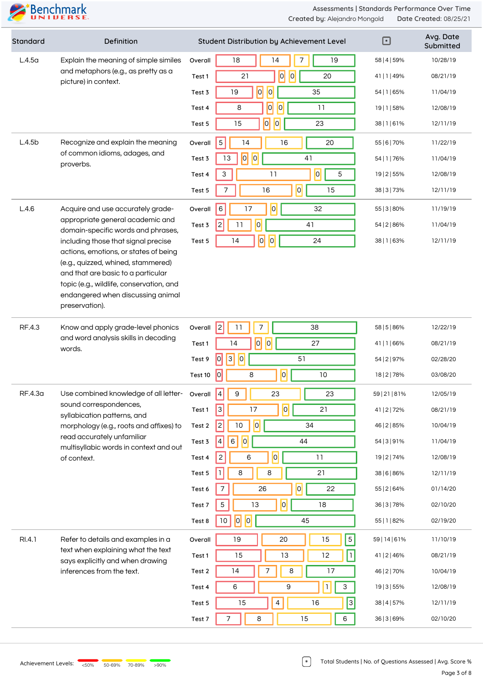| Standard | Definition                                                                                                                                                                              |         | Student Distribution by Achievement Level              | $\boxdot$     | Avg. Date<br>Submitted |
|----------|-----------------------------------------------------------------------------------------------------------------------------------------------------------------------------------------|---------|--------------------------------------------------------|---------------|------------------------|
| L.4.5a   | Explain the meaning of simple similes                                                                                                                                                   | Overall | 14<br>19<br>18<br>7                                    | 58   4   59%  | 10/28/19               |
|          | and metaphors (e.g., as pretty as a<br>picture) in context.                                                                                                                             | Test 1  | 0 <br>21<br>$\vert 0 \vert$<br>20                      | 41   1   49%  | 08/21/19               |
|          |                                                                                                                                                                                         | Test 3  | $\overline{0}$<br> 0 <br>35<br>19                      | 54   1   65%  | 11/04/19               |
|          |                                                                                                                                                                                         | Test 4  | 0 <br> 0 <br>8<br>11                                   | 19   1   58%  | 12/08/19               |
|          |                                                                                                                                                                                         | Test 5  | 0 <br> 0 <br>15<br>23                                  | 38   1   61%  | 12/11/19               |
| L.4.5b   | Recognize and explain the meaning                                                                                                                                                       | Overall | 14<br>5<br>16<br>20                                    | 55   6   70%  | 11/22/19               |
|          | of common idioms, adages, and<br>proverbs.                                                                                                                                              | Test 3  | $\overline{0}$<br> 0 <br>13<br>41                      | 54   1   76%  | 11/04/19               |
|          |                                                                                                                                                                                         | Test 4  | $\overline{0}$<br>$\ensuremath{\mathsf{3}}$<br>11<br>5 | 19   2   55%  | 12/08/19               |
|          |                                                                                                                                                                                         | Test 5  | $ \overline{0} $<br>$\overline{7}$<br>16<br>15         | 38   3   73%  | 12/11/19               |
| L.4.6    | Acquire and use accurately grade-                                                                                                                                                       | Overall | $\overline{0}$<br>6<br>17<br>32                        | 55   3   80%  | 11/19/19               |
|          | appropriate general academic and<br>domain-specific words and phrases,                                                                                                                  | Test 3  | $\overline{0}$<br>$\overline{c}$<br>11<br>41           | 54   2   86%  | 11/04/19               |
|          | including those that signal precise                                                                                                                                                     | Test 5  | $\overline{0}$<br> 0 <br>14<br>24                      | 38   1   63%  | 12/11/19               |
|          | actions, emotions, or states of being<br>(e.g., quizzed, whined, stammered)                                                                                                             |         |                                                        |               |                        |
|          | and that are basic to a particular                                                                                                                                                      |         |                                                        |               |                        |
|          | topic (e.g., wildlife, conservation, and<br>endangered when discussing animal                                                                                                           |         |                                                        |               |                        |
|          | preservation).                                                                                                                                                                          |         |                                                        |               |                        |
| RF.4.3   | Know and apply grade-level phonics                                                                                                                                                      | Overall | 2 <br>7<br>38<br>11                                    | 58   5   86%  | 12/22/19               |
|          | and word analysis skills in decoding<br>words.                                                                                                                                          | Test 1  | $\overline{0}$<br> 0 <br>14<br>27                      | 41   1   66%  | 08/21/19               |
|          |                                                                                                                                                                                         | Test 9  | 3 <br> 0 <br>51<br> 0                                  | 54   2   97%  | 02/28/20               |
|          |                                                                                                                                                                                         | Test 10 | 0 <br> 0 <br>10<br>8                                   | 18   2   78%  | 03/08/20               |
| RF.4.3a  | Use combined knowledge of all letter-                                                                                                                                                   | Overall | $\sqrt{4}$<br>$\overline{9}$<br>23<br>23               | 59   21   81% | 12/05/19               |
|          | sound correspondences,<br>syllabication patterns, and<br>morphology (e.g., roots and affixes) to<br>read accurately unfamiliar<br>multisyllabic words in context and out<br>of context. | Test 1  | $\overline{0}$<br> 3 <br>17<br>21                      | 41   2   72%  | 08/21/19               |
|          |                                                                                                                                                                                         | Test 2  | $\overline{0}$<br> 2 <br>$10$<br>34                    | 46   2   85%  | 10/04/19               |
|          |                                                                                                                                                                                         | Test 3  | 0 <br>44<br>4<br>$\,6$                                 | 54   3   9 1% | 11/04/19               |
|          |                                                                                                                                                                                         | Test 4  | $\overline{0}$<br>11<br>$\overline{c}$<br>6            | 19   2   74%  | 12/08/19               |
|          |                                                                                                                                                                                         | Test 5  | 8<br>21<br>8                                           | 38   6   86%  | 12/11/19               |
|          |                                                                                                                                                                                         | Test 6  | 0 <br>26<br>22<br>7                                    | 55   2   64%  | 01/14/20               |
|          |                                                                                                                                                                                         | Test 7  | 0 <br>$5\,$<br>13<br>18                                | 36   3   78%  | 02/10/20               |
|          |                                                                                                                                                                                         | Test 8  | $\overline{0}$<br> 0 <br>10<br>45                      | 55   1   82%  | 02/19/20               |
| RI.4.1   | Refer to details and examples in a                                                                                                                                                      | Overall | $\overline{5}$<br>19<br>20<br>15                       | 59   14   61% | 11/10/19               |
|          | text when explaining what the text<br>says explicitly and when drawing                                                                                                                  | Test 1  | 15<br>13<br>12                                         | 41   2   46%  | 08/21/19               |
|          | inferences from the text.                                                                                                                                                               | Test 2  | 8<br>17<br>14<br>7                                     | 46   2   70%  | 10/04/19               |
|          |                                                                                                                                                                                         | Test 4  | $\mathbf{1}$<br>9<br>$\mathsf{3}$<br>6                 | 19   3   55%  | 12/08/19               |
|          |                                                                                                                                                                                         | Test 5  | 4<br>$\overline{\mathbf{3}}$<br>15<br>16               | 38   4   57%  | 12/11/19               |
|          |                                                                                                                                                                                         | Test 7  | 8<br>6<br>7<br>15                                      | 36   3   69%  | 02/10/20               |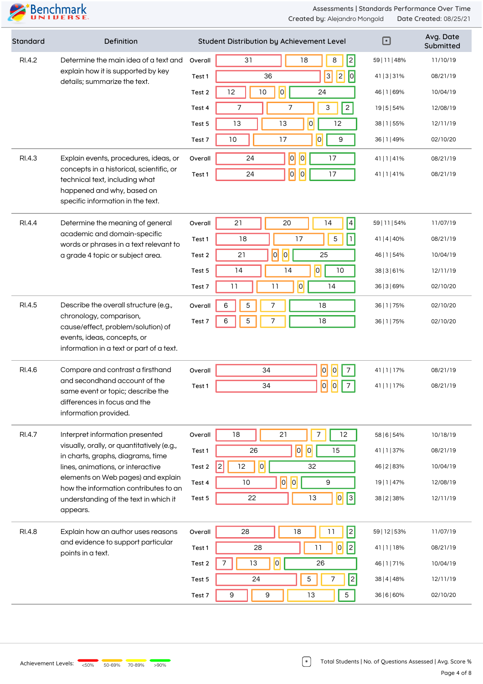| Standard | Definition                                                                                                                                                                        |         | Student Distribution by Achievement Level             | ⊡             | Avg. Date<br>Submitted |
|----------|-----------------------------------------------------------------------------------------------------------------------------------------------------------------------------------|---------|-------------------------------------------------------|---------------|------------------------|
| RI.4.2   | Determine the main idea of a text and                                                                                                                                             | Overall | $\overline{2}$<br>8<br>31<br>18                       | 59   11   48% | 11/10/19               |
|          | explain how it is supported by key<br>details; summarize the text.                                                                                                                | Test 1  | $\boxed{\circ}$<br>$\overline{3}$<br> 2 <br>36        | 41   3   3 1% | 08/21/19               |
|          |                                                                                                                                                                                   | Test 2  | 0 <br>12<br>10<br>24                                  | 46   1   69%  | 10/04/19               |
|          |                                                                                                                                                                                   | Test 4  | $\overline{2}$<br>$\ensuremath{\mathsf{3}}$<br>7<br>7 | 19   5   54%  | 12/08/19               |
|          |                                                                                                                                                                                   | Test 5  | $\overline{O}$<br>13<br>13<br>12                      | 38   1   55%  | 12/11/19               |
|          |                                                                                                                                                                                   | Test 7  | 0 <br>$10$<br>17<br>9                                 | 36   1   49%  | 02/10/20               |
| RI.4.3   | Explain events, procedures, ideas, or                                                                                                                                             | Overall | $\overline{0}$<br>$\vert 0 \vert$<br>24<br>17         | 41   1   41%  | 08/21/19               |
|          | concepts in a historical, scientific, or<br>technical text, including what                                                                                                        | Test 1  | $\overline{0}$<br>$\overline{0}$<br>24<br>17          | 41   1   41%  | 08/21/19               |
|          | happened and why, based on<br>specific information in the text.                                                                                                                   |         |                                                       |               |                        |
| RI.4.4   | Determine the meaning of general                                                                                                                                                  | Overall | $\vert 4 \vert$<br>20<br>14<br>21                     | 59   11   54% | 11/07/19               |
|          | academic and domain-specific<br>words or phrases in a text relevant to<br>a grade 4 topic or subject area.                                                                        | Test 1  | $\vert$ 1 $\vert$<br>17<br>$\mathbf 5$<br>18          | 41   4   40%  | 08/21/19               |
|          |                                                                                                                                                                                   | Test 2  | $\overline{0}$<br> 0 <br>21<br>25                     | 46   1   54%  | 10/04/19               |
|          |                                                                                                                                                                                   | Test 5  | $\overline{0}$<br>14<br>14<br>10                      | 38   3   6 1% | 12/11/19               |
|          |                                                                                                                                                                                   | Test 7  | $\overline{0}$<br>11<br>11<br>14                      | 36   3   69%  | 02/10/20               |
| RI.4.5   | Describe the overall structure (e.g.,<br>chronology, comparison,<br>cause/effect, problem/solution) of<br>events, ideas, concepts, or<br>information in a text or part of a text. | Overall | 5<br>7<br>6<br>18                                     | 36   1   75%  | 02/10/20               |
|          |                                                                                                                                                                                   | Test 7  | 7<br>5<br>18<br>6                                     | 36   1   75%  | 02/10/20               |
|          |                                                                                                                                                                                   |         |                                                       |               |                        |
| RI.4.6   | Compare and contrast a firsthand<br>and secondhand account of the<br>same event or topic; describe the<br>differences in focus and the<br>information provided.                   | Overall | 0 <br>34<br> 0 <br>7                                  | 41   1   17%  | 08/21/19               |
|          |                                                                                                                                                                                   | Test 1  | 0 <br> 0 <br>7<br>34                                  | 41   1   17%  | 08/21/19               |
|          |                                                                                                                                                                                   |         |                                                       |               |                        |
| RI.4.7   | Interpret information presented                                                                                                                                                   | Overall | 7<br>18<br>21<br>12                                   | 58   6   54%  | 10/18/19               |
|          | visually, orally, or quantitatively (e.g.,<br>in charts, graphs, diagrams, time                                                                                                   | Test 1  | 0 <br> 0 <br>15<br>26                                 | 41   1   37%  | 08/21/19               |
|          | lines, animations, or interactive                                                                                                                                                 | Test 2  | $\overline{0}$<br> 2 <br>12<br>32                     | 46   2   83%  | 10/04/19               |
|          | elements on Web pages) and explain<br>how the information contributes to an<br>understanding of the text in which it<br>appears.                                                  | Test 4  | $\overline{0}$<br> 0 <br>9<br>$10$                    | 19   1   47%  | 12/08/19               |
|          |                                                                                                                                                                                   | Test 5  | 0 <br> 3 <br>22<br>13                                 | 38   2   38%  | 12/11/19               |
| RI.4.8   | Explain how an author uses reasons<br>and evidence to support particular                                                                                                          | Overall | 2 <br>28<br>18<br>11                                  | 59   12   53% | 11/07/19               |
|          |                                                                                                                                                                                   | Test 1  | $\sqrt{2}$<br> 0 <br>28<br>11                         | 41   1   18%  | 08/21/19               |
|          | points in a text.                                                                                                                                                                 | Test 2  | $\overline{\phantom{a}}$<br>13<br>26                  | 46   1   71%  | 10/04/19               |
|          |                                                                                                                                                                                   | Test 5  | 5<br> 2 <br>7<br>24                                   | 38   4   48%  | 12/11/19               |
|          |                                                                                                                                                                                   | Test 7  | 9<br>9<br>13<br>5                                     | 36   6   60%  | 02/10/20               |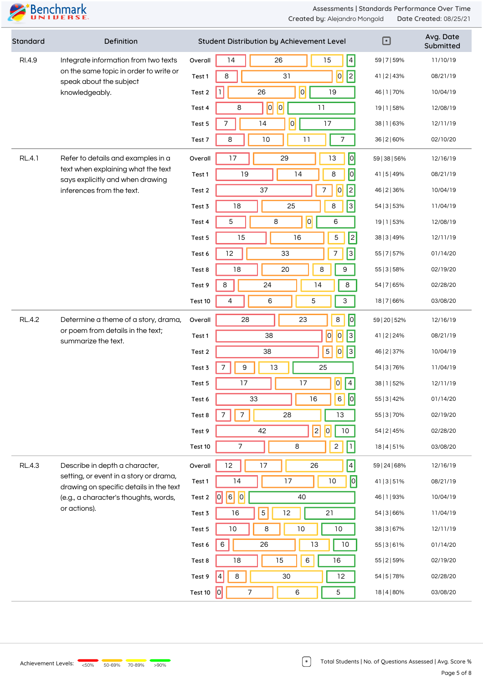| Standard      | Definition                                                                                                                                 |         | Student Distribution by Achievement Level            | $\boxdot$     | Avg. Date<br>Submitted |
|---------------|--------------------------------------------------------------------------------------------------------------------------------------------|---------|------------------------------------------------------|---------------|------------------------|
| RI.4.9        | Integrate information from two texts<br>on the same topic in order to write or<br>speak about the subject<br>knowledgeably.                | Overall | $\vert 4 \vert$<br>15<br>14<br>26                    | 59   7   59%  | 11/10/19               |
|               |                                                                                                                                            | Test 1  | $\boxed{0}$<br> 2 <br>31<br>$\,8\,$                  | 41   2   43%  | 08/21/19               |
|               |                                                                                                                                            | Test 2  | $ \overline{0} $<br>26<br>19                         | 46   1   70%  | 10/04/19               |
|               |                                                                                                                                            | Test 4  | $ \overline{o} $<br> 0 <br>11<br>8                   | 19   1   58%  | 12/08/19               |
|               |                                                                                                                                            | Test 5  | $\overline{0}$<br>$\overline{7}$<br>14<br>17         | 38   1   63%  | 12/11/19               |
|               |                                                                                                                                            | Test 7  | 8<br>10<br>11<br>$\overline{7}$                      | 36   2   60%  | 02/10/20               |
| <b>RL.4.1</b> | Refer to details and examples in a                                                                                                         | Overall | $\sqrt{2}$<br>17<br>29<br>13                         | 59   38   56% | 12/16/19               |
|               | text when explaining what the text<br>says explicitly and when drawing                                                                     | Test 1  | $\overline{0}$<br>19<br>14<br>8                      | 41   5   49%  | 08/21/19               |
|               | inferences from the text.                                                                                                                  | Test 2  | $\overline{c}$<br>37<br>$\overline{0}$<br>7          | 46   2   36%  | 10/04/19               |
|               |                                                                                                                                            | Test 3  | $\overline{\mathbf{3}}$<br>18<br>25<br>8             | 54   3   53%  | 11/04/19               |
|               |                                                                                                                                            | Test 4  | $\overline{0}$<br>5<br>8<br>6                        | 19   1   53%  | 12/08/19               |
|               |                                                                                                                                            | Test 5  | 16<br>2<br>15<br>5                                   | 38   3   49%  | 12/11/19               |
|               |                                                                                                                                            | Test 6  | $3\vert$<br>12<br>7<br>33                            | 55   7   57%  | 01/14/20               |
|               |                                                                                                                                            | Test 8  | 8<br>18<br>20<br>$\mathsf 9$                         | 55   3   58%  | 02/19/20               |
|               |                                                                                                                                            | Test 9  | 8<br>24<br>8<br>14                                   | 54   7   65%  | 02/28/20               |
|               |                                                                                                                                            | Test 10 | 6<br>5<br>3<br>4                                     | 18   7   66%  | 03/08/20               |
| <b>RL.4.2</b> | Determine a theme of a story, drama,                                                                                                       | Overall | 0 <br>$\,8\,$<br>23<br>28                            | 59   20   52% | 12/16/19               |
|               | or poem from details in the text;<br>summarize the text.                                                                                   | Test 1  | 0 <br>$\overline{0}$<br> 3 <br>38                    | 41   2   24%  | 08/21/19               |
|               |                                                                                                                                            | Test 2  | $\vert$ 3<br>$\sqrt{5}$<br> 0 <br>38                 | 46   2   37%  | 10/04/19               |
|               |                                                                                                                                            | Test 3  | $\boldsymbol{9}$<br>13<br>25<br>7                    | 54   3   76%  | 11/04/19               |
|               |                                                                                                                                            | Test 5  | 0 <br>17<br>17<br>$\overline{4}$                     | 38   1   52%  | 12/11/19               |
|               |                                                                                                                                            | Test 6  | 0 <br>6<br>33<br>16                                  | 55   3   42%  | 01/14/20               |
|               |                                                                                                                                            | Test 8  | $\overline{7}$<br>13<br>7<br>28                      | 55   3   70%  | 02/19/20               |
|               |                                                                                                                                            | Test 9  | 2 <br> 0 <br>42<br>$10\,$                            | 54   2   45%  | 02/28/20               |
|               |                                                                                                                                            | Test 10 | $\mathbf{2}$<br>7<br>$\,8\,$<br>1                    | 18   4   51%  | 03/08/20               |
| <b>RL.4.3</b> | Describe in depth a character,                                                                                                             | Overall | $\vert 4 \vert$<br>$12 \,$<br>17<br>26               | 59   24   68% | 12/16/19               |
|               | setting, or event in a story or drama,<br>drawing on specific details in the text<br>(e.g., a character's thoughts, words,<br>or actions). | Test 1  | 0 <br>14<br>17<br>10                                 | 41   3   51%  | 08/21/19               |
|               |                                                                                                                                            | Test 2  | $\vert 6 \vert$<br> 0 <br> 0 <br>40                  | 46   1   93%  | 10/04/19               |
|               |                                                                                                                                            | Test 3  | 5 <sup>1</sup><br>16<br>12<br>21                     | 54   3   66%  | 11/04/19               |
|               |                                                                                                                                            | Test 5  | 10<br>10<br>$10$<br>8                                | 38   3   67%  | 12/11/19               |
|               |                                                                                                                                            | Test 6  | 13<br>26<br>10<br>6                                  | 55   3   6 1% | 01/14/20               |
|               |                                                                                                                                            | Test 8  | 15<br>$\,6\,$<br>16<br>18                            | 55   2   59%  | 02/19/20               |
|               |                                                                                                                                            | Test 9  | 30<br>$\,8\,$<br>12<br>4                             | 54   5   78%  | 02/28/20               |
|               |                                                                                                                                            | Test 10 | $\overline{0}$<br>$\overline{\phantom{a}}$<br>5<br>6 | 18   4   80%  | 03/08/20               |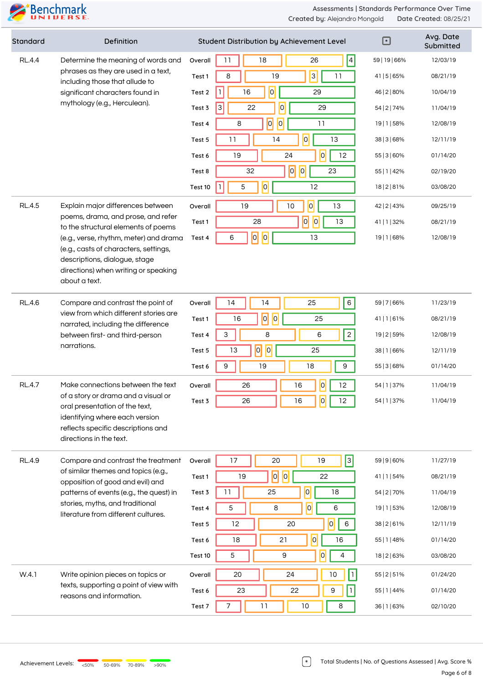

| Standard      | Definition                                                                                                                                                                                                                         | Student Distribution by Achievement Level           | ⊡             | Avg. Date<br>Submitted |
|---------------|------------------------------------------------------------------------------------------------------------------------------------------------------------------------------------------------------------------------------------|-----------------------------------------------------|---------------|------------------------|
| <b>RL.4.4</b> | Determine the meaning of words and<br>phrases as they are used in a text,<br>including those that allude to<br>significant characters found in                                                                                     | $\vert 4 \vert$<br>11<br>18<br>26<br>Overall        | 59   19   66% | 12/03/19               |
|               |                                                                                                                                                                                                                                    | 3 <br>11<br>8<br>19<br>Test 1                       | 41   5   65%  | 08/21/19               |
|               |                                                                                                                                                                                                                                    | $\overline{O}$<br>16<br>29<br>Test 2                | 46   2   80%  | 10/04/19               |
|               | mythology (e.g., Herculean).                                                                                                                                                                                                       | 3<br>$\overline{0}$<br>22<br>29<br>Test 3           | 54   2   74%  | 11/04/19               |
|               |                                                                                                                                                                                                                                    | $ \overline{o} $<br> 0 <br>11<br>8<br>Test 4        | 19   1   58%  | 12/08/19               |
|               |                                                                                                                                                                                                                                    | $\overline{0}$<br>13<br>11<br>14<br>Test 5          | 38   3   68%  | 12/11/19               |
|               |                                                                                                                                                                                                                                    | 24<br> 0 <br>12<br>19<br>Test 6                     | 55   3   60%  | 01/14/20               |
|               |                                                                                                                                                                                                                                    | 0 <br> 0 <br>32<br>23<br>Test 8                     | 55   1   42%  | 02/19/20               |
|               |                                                                                                                                                                                                                                    | $ \overline{0} $<br>5<br>12<br>Test 10              | 18   2   8 1% | 03/08/20               |
| <b>RL.4.5</b> | Explain major differences between                                                                                                                                                                                                  | $\overline{0}$<br>$10$<br>13<br>19<br>Overall       | 42   2   43%  | 09/25/19               |
|               | poems, drama, and prose, and refer<br>to the structural elements of poems                                                                                                                                                          | 0 <br>$\vert 0 \vert$<br>28<br>13<br>Test 1         | 41   1   32%  | 08/21/19               |
|               | (e.g., verse, rhythm, meter) and drama                                                                                                                                                                                             | $ \overline{o} $<br> 0 <br>13<br>6<br>Test 4        | 19   1   68%  | 12/08/19               |
|               | (e.g., casts of characters, settings,<br>descriptions, dialogue, stage                                                                                                                                                             |                                                     |               |                        |
|               | directions) when writing or speaking<br>about a text.                                                                                                                                                                              |                                                     |               |                        |
| <b>RL.4.6</b> | Compare and contrast the point of                                                                                                                                                                                                  | 6 <sup>1</sup><br>14<br>14<br>25<br>Overall         | 59   7   66%  | 11/23/19               |
|               | view from which different stories are<br>narrated, including the difference<br>between first- and third-person<br>narrations.                                                                                                      | $\overline{0}$<br> 0 <br>16<br>25<br>Test 1         | 41 1 61%      | 08/21/19               |
|               |                                                                                                                                                                                                                                    | $\overline{2}$<br>$\mathsf 3$<br>8<br>6<br>Test 4   | 19   2   59%  | 12/08/19               |
|               |                                                                                                                                                                                                                                    | $\overline{0}$<br>$\boxed{0}$<br>13<br>25<br>Test 5 | 38   1   66%  | 12/11/19               |
|               |                                                                                                                                                                                                                                    | 9<br>9<br>19<br>18<br>Test 6                        | 55   3   68%  | 01/14/20               |
| <b>RL.4.7</b> | Make connections between the text                                                                                                                                                                                                  | 0 <br>12<br>26<br>16<br>Overall                     | 54   1   37%  | 11/04/19               |
|               | of a story or drama and a visual or                                                                                                                                                                                                | 0 <br>26<br>16<br>12                                | 54   1   37%  | 11/04/19               |
|               | oral presentation of the text,<br>identifying where each version<br>reflects specific descriptions and                                                                                                                             | Test 3                                              |               |                        |
|               | directions in the text.                                                                                                                                                                                                            |                                                     |               |                        |
| <b>RL.4.9</b> | Compare and contrast the treatment<br>of similar themes and topics (e.g.,<br>opposition of good and evil) and<br>patterns of events (e.g., the quest) in<br>stories, myths, and traditional<br>literature from different cultures. | $\sqrt{3}$<br>17<br>20<br>19<br>Overall             | 59   9   60%  | 11/27/19               |
|               |                                                                                                                                                                                                                                    | $\overline{0}$<br> 0 <br>19<br>22<br>Test 1         | 41   1   54%  | 08/21/19               |
|               |                                                                                                                                                                                                                                    | $\overline{0}$<br>11<br>25<br>18<br>Test 3          | 54   2   70%  | 11/04/19               |
|               |                                                                                                                                                                                                                                    | $\vert 0 \vert$<br>5<br>8<br>6<br>Test 4            | 19   1   53%  | 12/08/19               |
|               |                                                                                                                                                                                                                                    | 0 <br>6<br>12<br>20<br>Test 5                       | 38   2   6 1% | 12/11/19               |
|               |                                                                                                                                                                                                                                    | 0 <br>18<br>21<br>16<br>Test 6                      | 55   1   48%  | 01/14/20               |
|               |                                                                                                                                                                                                                                    | 0 <br>5<br>9<br>4<br>Test 10                        | 18   2   63%  | 03/08/20               |
| W.4.1         | Write opinion pieces on topics or                                                                                                                                                                                                  | 20<br>24<br>10<br>$\mathbf{1}$<br>Overall           | 55   2   51%  | 01/24/20               |
|               | texts, supporting a point of view with<br>reasons and information.                                                                                                                                                                 | 9<br>23<br>22<br>Test 6                             | 55   1   44%  | 01/14/20               |
|               |                                                                                                                                                                                                                                    | 11<br>$10\,$<br>7<br>8<br>Test 7                    | 36   1   63%  | 02/10/20               |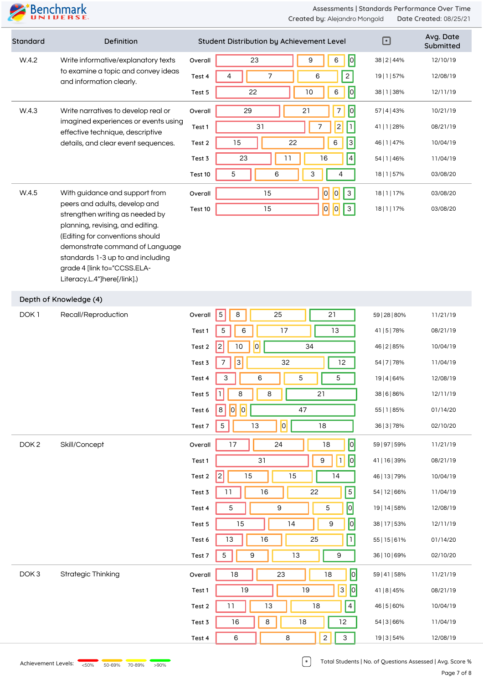

| Standard                                                                 | Definition                                                                                                                                                                                                |                                          | Student Distribution by Achievement Level              | $\Box$        | Avg. Date<br>Submitted |
|--------------------------------------------------------------------------|-----------------------------------------------------------------------------------------------------------------------------------------------------------------------------------------------------------|------------------------------------------|--------------------------------------------------------|---------------|------------------------|
| W.4.2<br>to examine a topic and convey ideas<br>and information clearly. | Write informative/explanatory texts                                                                                                                                                                       | Overall                                  | $\sqrt{2}$<br>23<br>9<br>6                             | 38   2   44%  | 12/10/19               |
|                                                                          |                                                                                                                                                                                                           | Test 4                                   | $\overline{c}$<br>$\overline{7}$<br>6<br>4             | 19   1   57%  | 12/08/19               |
|                                                                          |                                                                                                                                                                                                           | Test 5                                   | 0 <br>10<br>6<br>22                                    | 38   1   38%  | 12/11/19               |
| W.4.3<br>Write narratives to develop real or                             | Overall                                                                                                                                                                                                   | $\sqrt{2}$<br>21<br>$\overline{7}$<br>29 | 57   4   43%                                           | 10/21/19      |                        |
|                                                                          | imagined experiences or events using<br>effective technique, descriptive                                                                                                                                  | Test 1                                   | $\overline{c}$<br>$\mathbf 1$<br>$\overline{7}$<br>31  | 41   1   28%  | 08/21/19               |
|                                                                          | details, and clear event sequences.                                                                                                                                                                       | Test 2                                   | $\overline{3}$<br>15<br>22<br>6                        | 46   1   47%  | 10/04/19               |
|                                                                          |                                                                                                                                                                                                           | Test 3                                   | $\vert 4 \vert$<br>11<br>16<br>23                      | 54   1   46%  | 11/04/19               |
|                                                                          |                                                                                                                                                                                                           | Test 10                                  | 5<br>6<br>3<br>4                                       | 18   1   57%  | 03/08/20               |
| W.4.5                                                                    | With guidance and support from                                                                                                                                                                            | Overall                                  | $\overline{a}$<br> 0 <br>15<br>$\mathsf{3}$            | 18   1   17%  | 03/08/20               |
|                                                                          | peers and adults, develop and<br>strengthen writing as needed by                                                                                                                                          | Test 10                                  | $\overline{0}$<br>$\overline{0}$<br>$\mathsf{3}$<br>15 | 18   1   17%  | 03/08/20               |
|                                                                          | planning, revising, and editing.<br>(Editing for conventions should<br>demonstrate command of Language<br>standards 1-3 up to and including<br>grade 4 [link to="CCSS.ELA-<br>Literacy.L.4"]here[/link].) |                                          |                                                        |               |                        |
|                                                                          | Depth of Knowledge (4)                                                                                                                                                                                    |                                          |                                                        |               |                        |
| DOK <sub>1</sub>                                                         | Recall/Reproduction                                                                                                                                                                                       | Overall                                  | $\sqrt{5}$<br>25<br>21<br>8                            | 59   28   80% | 11/21/19               |
|                                                                          |                                                                                                                                                                                                           | Test 1                                   | 5<br>6<br>17<br>13                                     | 41   5   78%  | 08/21/19               |
|                                                                          |                                                                                                                                                                                                           | Test 2                                   | 10<br> 0 <br>34<br>2                                   | 46   2   85%  | 10/04/19               |
|                                                                          |                                                                                                                                                                                                           | Test 3                                   | $\overline{3}$<br>32<br>7<br>12                        | 54   7   78%  | 11/04/19               |
|                                                                          |                                                                                                                                                                                                           | Test 4                                   | 5<br>3<br>6<br>5                                       | 19   4   64%  | 12/08/19               |
|                                                                          |                                                                                                                                                                                                           | Test 5                                   | 8<br>8<br>21<br>-1                                     | 38   6   86%  | 12/11/19               |
|                                                                          |                                                                                                                                                                                                           | Test 6                                   | 0 <br> 0 <br>47<br>8                                   | 55   1   85%  | 01/14/20               |
|                                                                          |                                                                                                                                                                                                           | Test 7                                   | 0 <br>$\mathbf 5$<br>18<br>13                          | 36   3   78%  | 02/10/20               |
| DOK <sub>2</sub>                                                         | Skill/Concept                                                                                                                                                                                             | Overall                                  | $\overline{0}$<br>17<br>24<br>$18\,$                   | 59   97   59% | 11/21/19               |
|                                                                          |                                                                                                                                                                                                           | Test 1                                   | $\boxed{0}$<br>$\vert$ 1<br>31<br>$\boldsymbol{9}$     | 41   16   39% | 08/21/19               |
|                                                                          |                                                                                                                                                                                                           | Test 2                                   | 2 <br>15<br>15<br>14                                   | 46   13   79% | 10/04/19               |
|                                                                          |                                                                                                                                                                                                           | Test 3                                   | $\overline{5}$<br>16<br>22<br>11                       | 54   12   66% | 11/04/19               |
|                                                                          |                                                                                                                                                                                                           | Test 4                                   | $\overline{\phantom{a}}$<br>$\mathbf 5$<br>9<br>5      | 19   14   58% | 12/08/19               |
|                                                                          |                                                                                                                                                                                                           | Test 5                                   | $\boxed{0}$<br>15<br>14<br>9                           | 38   17   53% | 12/11/19               |
|                                                                          |                                                                                                                                                                                                           | Test 6                                   | $\lceil \rceil$<br>13<br>25<br>16                      | 55   15   61% | 01/14/20               |
|                                                                          |                                                                                                                                                                                                           | Test 7                                   | $\mathbf 5$<br>9<br>13<br>9                            | 36   10   69% | 02/10/20               |
| DOK <sub>3</sub>                                                         | <b>Strategic Thinking</b>                                                                                                                                                                                 | Overall                                  | $\overline{a}$<br>18<br>23<br>18                       | 59   41   58% | 11/21/19               |
|                                                                          |                                                                                                                                                                                                           | Test 1                                   | $\boxed{0}$<br> 3 <br>19<br>19                         | 41   8   45%  | 08/21/19               |
|                                                                          |                                                                                                                                                                                                           | Test 2                                   | $\overline{4}$<br>11<br>13<br>18                       | 46   5   60%  | 10/04/19               |
|                                                                          |                                                                                                                                                                                                           | Test 3                                   | 18<br>16<br>8<br>12                                    | 54   3   66%  | 11/04/19               |
|                                                                          |                                                                                                                                                                                                           | Test 4                                   | $\mathbf{2}$<br>8<br>3<br>6                            | 19   3   54%  | 12/08/19               |